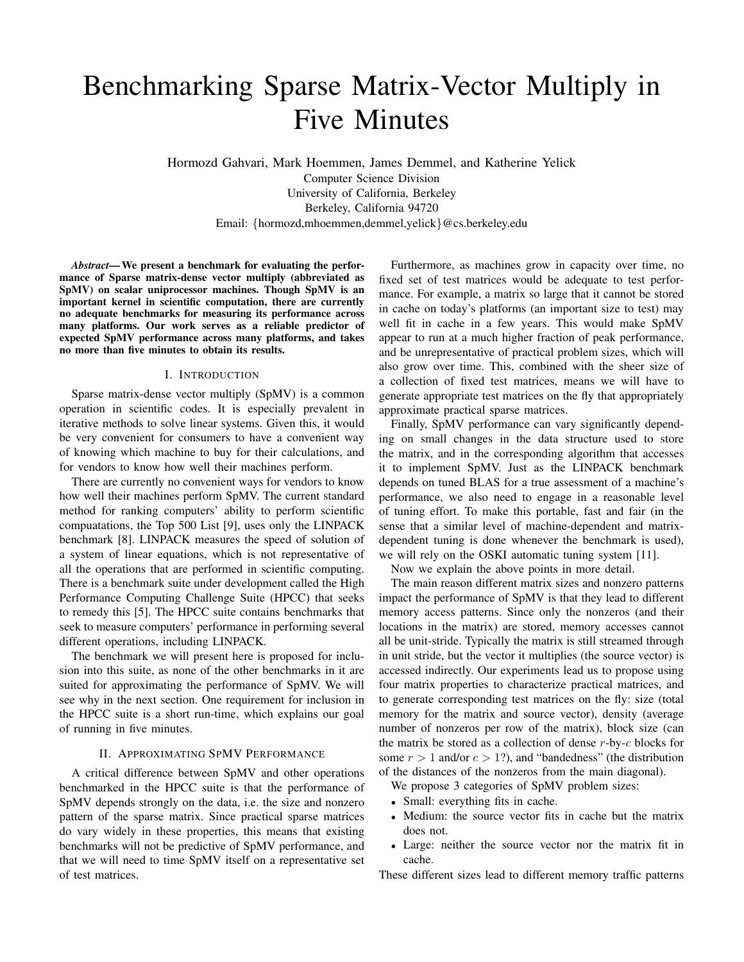# Benchmarking Sparse Matrix-Vector Multiply in Five Minutes

Hormozd Gahvari, Mark Hoemmen, James Demmel, and Katherine Yelick Computer Science Division University of California, Berkeley Berkeley, California 94720 Email: {hormozd,mhoemmen,demmel,yelick}@cs.berkeley.edu

*Abstract*— We present a benchmark for evaluating the performance of Sparse matrix-dense vector multiply (abbreviated as SpMV) on scalar uniprocessor machines. Though SpMV is an important kernel in scientific computation, there are currently no adequate benchmarks for measuring its performance across many platforms. Our work serves as a reliable predictor of expected SpMV performance across many platforms, and takes no more than five minutes to obtain its results.

## I. INTRODUCTION

Sparse matrix-dense vector multiply (SpMV) is a common operation in scientific codes. It is especially prevalent in iterative methods to solve linear systems. Given this, it would be very convenient for consumers to have a convenient way of knowing which machine to buy for their calculations, and for vendors to know how well their machines perform.

There are currently no convenient ways for vendors to know how well their machines perform SpMV. The current standard method for ranking computers' ability to perform scientific compuatations, the Top 500 List [9], uses only the LINPACK benchmark [8]. LINPACK measures the speed of solution of a system of linear equations, which is not representative of all the operations that are performed in scientific computing. There is a benchmark suite under development called the High Performance Computing Challenge Suite (HPCC) that seeks to remedy this [5]. The HPCC suite contains benchmarks that seek to measure computers' performance in performing several different operations, including LINPACK.

The benchmark we will present here is proposed for inclusion into this suite, as none of the other benchmarks in it are suited for approximating the performance of SpMV. We will see why in the next section. One requirement for inclusion in the HPCC suite is a short run-time, which explains our goal of running in five minutes.

## II. APPROXIMATING SPMV PERFORMANCE

A critical difference between SpMV and other operations benchmarked in the HPCC suite is that the performance of SpMV depends strongly on the data, i.e. the size and nonzero pattern of the sparse matrix. Since practical sparse matrices do vary widely in these properties, this means that existing benchmarks will not be predictive of SpMV performance, and that we will need to time SpMV itself on a representative set of test matrices.

Furthermore, as machines grow in capacity over time, no fixed set of test matrices would be adequate to test performance. For example, a matrix so large that it cannot be stored in cache on today's platforms (an important size to test) may well fit in cache in a few years. This would make SpMV appear to run at a much higher fraction of peak performance, and be unrepresentative of practical problem sizes, which will also grow over time. This, combined with the sheer size of a collection of fixed test matrices, means we will have to generate appropriate test matrices on the fly that appropriately approximate practical sparse matrices.

Finally, SpMV performance can vary significantly depending on small changes in the data structure used to store the matrix, and in the corresponding algorithm that accesses it to implement SpMV. Just as the LINPACK benchmark depends on tuned BLAS for a true assessment of a machine's performance, we also need to engage in a reasonable level of tuning effort. To make this portable, fast and fair (in the sense that a similar level of machine-dependent and matrixdependent tuning is done whenever the benchmark is used), we will rely on the OSKI automatic tuning system [11].

Now we explain the above points in more detail.

The main reason different matrix sizes and nonzero patterns impact the performance of SpMV is that they lead to different memory access patterns. Since only the nonzeros (and their locations in the matrix) are stored, memory accesses cannot all be unit-stride. Typically the matrix is still streamed through in unit stride, but the vector it multiplies (the source vector) is accessed indirectly. Our experiments lead us to propose using four matrix properties to characterize practical matrices, and to generate corresponding test matrices on the fly: size (total memory for the matrix and source vector), density (average number of nonzeros per row of the matrix), block size (can the matrix be stored as a collection of dense  $r$ -by- $c$  blocks for some  $r > 1$  and/or  $c > 1$ ?), and "bandedness" (the distribution of the distances of the nonzeros from the main diagonal).

We propose 3 categories of SpMV problem sizes:

- Small: everything fits in cache.
- Medium: the source vector fits in cache but the matrix does not.
- Large: neither the source vector nor the matrix fit in cache.

These different sizes lead to different memory traffic patterns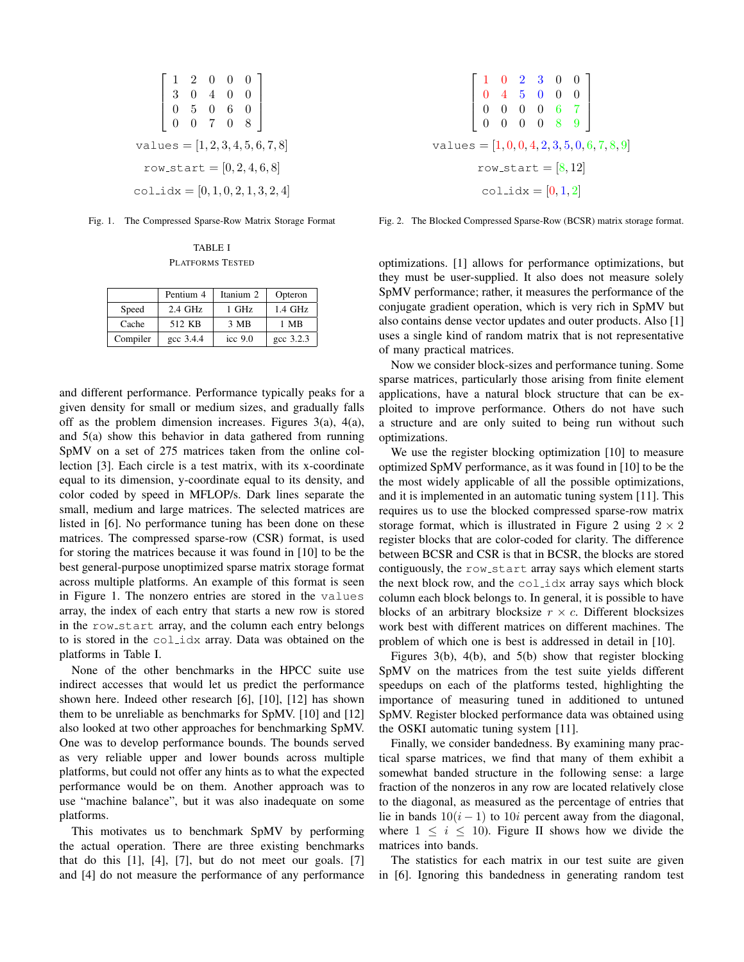$$
\begin{bmatrix} 1 & 2 & 0 & 0 & 0 \\ 3 & 0 & 4 & 0 & 0 \\ 0 & 5 & 0 & 6 & 0 \\ 0 & 0 & 7 & 0 & 8 \end{bmatrix}
$$
  
values = [1, 2, 3, 4, 5, 6, 7, 8]  
row.start = [0, 2, 4, 6, 8]  
col\_idx = [0, 1, 0, 2, 1, 3, 2, 4]

Fig. 1. The Compressed Sparse-Row Matrix Storage Format

TABLE I PLATFORMS TESTED

|          | Pentium 4    | Itanium 2 | Opteron   |
|----------|--------------|-----------|-----------|
| Speed    | $2.4$ GHz    | $1$ GHz   | $1.4$ GHz |
| Cache    | 512 KB       | 3 MB      | 1 MB      |
| Compiler | $\csc 3.4.4$ | icc $9.0$ | gcc 3.2.3 |

and different performance. Performance typically peaks for a given density for small or medium sizes, and gradually falls off as the problem dimension increases. Figures 3(a), 4(a), and 5(a) show this behavior in data gathered from running SpMV on a set of 275 matrices taken from the online collection [3]. Each circle is a test matrix, with its x-coordinate equal to its dimension, y-coordinate equal to its density, and color coded by speed in MFLOP/s. Dark lines separate the small, medium and large matrices. The selected matrices are listed in [6]. No performance tuning has been done on these matrices. The compressed sparse-row (CSR) format, is used for storing the matrices because it was found in [10] to be the best general-purpose unoptimized sparse matrix storage format across multiple platforms. An example of this format is seen in Figure 1. The nonzero entries are stored in the values array, the index of each entry that starts a new row is stored in the row start array, and the column each entry belongs to is stored in the col idx array. Data was obtained on the platforms in Table I.

None of the other benchmarks in the HPCC suite use indirect accesses that would let us predict the performance shown here. Indeed other research [6], [10], [12] has shown them to be unreliable as benchmarks for SpMV. [10] and [12] also looked at two other approaches for benchmarking SpMV. One was to develop performance bounds. The bounds served as very reliable upper and lower bounds across multiple platforms, but could not offer any hints as to what the expected performance would be on them. Another approach was to use "machine balance", but it was also inadequate on some platforms.

This motivates us to benchmark SpMV by performing the actual operation. There are three existing benchmarks that do this  $[1]$ ,  $[4]$ ,  $[7]$ , but do not meet our goals.  $[7]$ and [4] do not measure the performance of any performance

$$
\begin{bmatrix} 1 & 0 & 2 & 3 & 0 & 0 \\ 0 & 4 & 5 & 0 & 0 & 0 \\ 0 & 0 & 0 & 0 & 6 & 7 \\ 0 & 0 & 0 & 0 & 8 & 9 \end{bmatrix}
$$
  
values = [1,0,0,4,2,3,5,0,6,7,8,9]  
row.start = [8,12]  
coll\_idx = [0,1,2]

Fig. 2. The Blocked Compressed Sparse-Row (BCSR) matrix storage format.

optimizations. [1] allows for performance optimizations, but they must be user-supplied. It also does not measure solely SpMV performance; rather, it measures the performance of the conjugate gradient operation, which is very rich in SpMV but also contains dense vector updates and outer products. Also [1] uses a single kind of random matrix that is not representative of many practical matrices.

Now we consider block-sizes and performance tuning. Some sparse matrices, particularly those arising from finite element applications, have a natural block structure that can be exploited to improve performance. Others do not have such a structure and are only suited to being run without such optimizations.

We use the register blocking optimization [10] to measure optimized SpMV performance, as it was found in [10] to be the the most widely applicable of all the possible optimizations, and it is implemented in an automatic tuning system [11]. This requires us to use the blocked compressed sparse-row matrix storage format, which is illustrated in Figure 2 using  $2 \times 2$ register blocks that are color-coded for clarity. The difference between BCSR and CSR is that in BCSR, the blocks are stored contiguously, the row\_start array says which element starts the next block row, and the  $col\_idx$  array says which block column each block belongs to. In general, it is possible to have blocks of an arbitrary blocksize  $r \times c$ . Different blocksizes work best with different matrices on different machines. The problem of which one is best is addressed in detail in [10].

Figures 3(b), 4(b), and 5(b) show that register blocking SpMV on the matrices from the test suite yields different speedups on each of the platforms tested, highlighting the importance of measuring tuned in additioned to untuned SpMV. Register blocked performance data was obtained using the OSKI automatic tuning system [11].

Finally, we consider bandedness. By examining many practical sparse matrices, we find that many of them exhibit a somewhat banded structure in the following sense: a large fraction of the nonzeros in any row are located relatively close to the diagonal, as measured as the percentage of entries that lie in bands  $10(i - 1)$  to  $10i$  percent away from the diagonal, where  $1 \leq i \leq 10$ ). Figure II shows how we divide the matrices into bands.

The statistics for each matrix in our test suite are given in [6]. Ignoring this bandedness in generating random test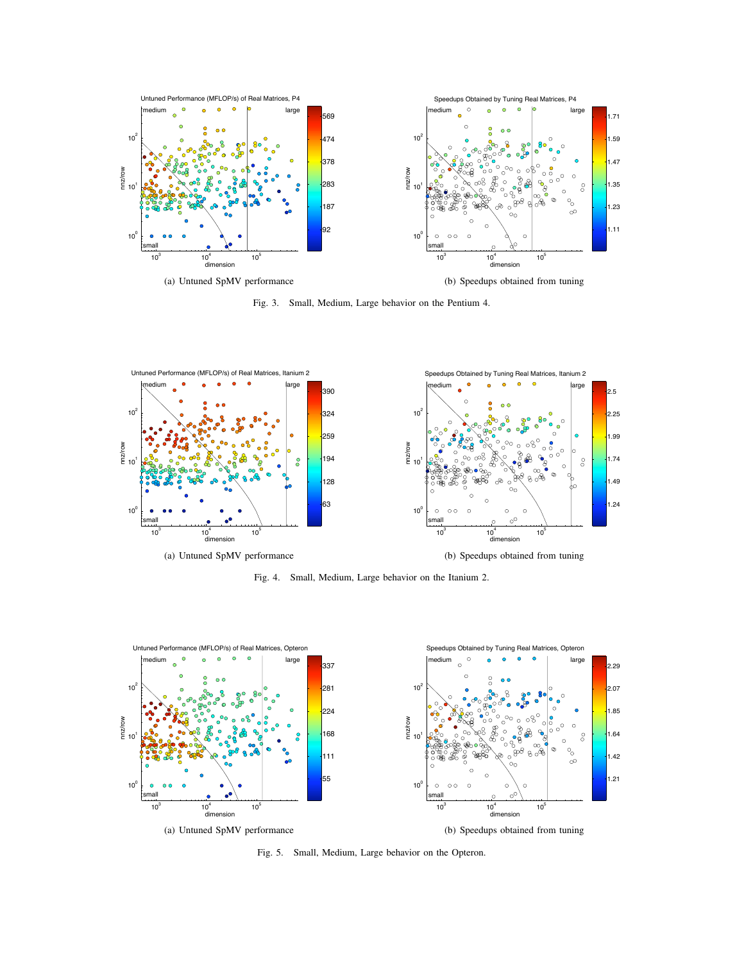

Fig. 3. Small, Medium, Large behavior on the Pentium 4.



Fig. 4. Small, Medium, Large behavior on the Itanium 2.



Fig. 5. Small, Medium, Large behavior on the Opteron.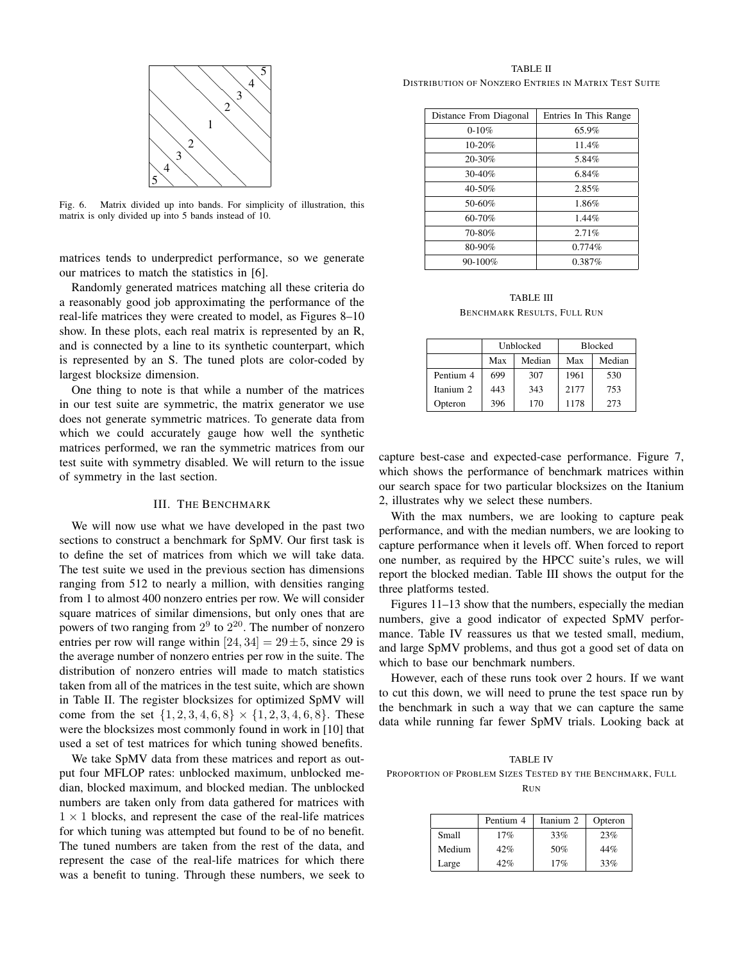

Fig. 6. Matrix divided up into bands. For simplicity of illustration, this matrix is only divided up into 5 bands instead of 10.

matrices tends to underpredict performance, so we generate our matrices to match the statistics in [6].

Randomly generated matrices matching all these criteria do a reasonably good job approximating the performance of the real-life matrices they were created to model, as Figures 8–10 show. In these plots, each real matrix is represented by an R, and is connected by a line to its synthetic counterpart, which is represented by an S. The tuned plots are color-coded by largest blocksize dimension.

One thing to note is that while a number of the matrices in our test suite are symmetric, the matrix generator we use does not generate symmetric matrices. To generate data from which we could accurately gauge how well the synthetic matrices performed, we ran the symmetric matrices from our test suite with symmetry disabled. We will return to the issue of symmetry in the last section.

### III. THE BENCHMARK

We will now use what we have developed in the past two sections to construct a benchmark for SpMV. Our first task is to define the set of matrices from which we will take data. The test suite we used in the previous section has dimensions ranging from 512 to nearly a million, with densities ranging from 1 to almost 400 nonzero entries per row. We will consider square matrices of similar dimensions, but only ones that are powers of two ranging from  $2^9$  to  $2^{20}$ . The number of nonzero entries per row will range within  $[24, 34] = 29 \pm 5$ , since 29 is the average number of nonzero entries per row in the suite. The distribution of nonzero entries will made to match statistics taken from all of the matrices in the test suite, which are shown in Table II. The register blocksizes for optimized SpMV will come from the set  $\{1, 2, 3, 4, 6, 8\} \times \{1, 2, 3, 4, 6, 8\}$ . These were the blocksizes most commonly found in work in [10] that used a set of test matrices for which tuning showed benefits.

We take SpMV data from these matrices and report as output four MFLOP rates: unblocked maximum, unblocked median, blocked maximum, and blocked median. The unblocked numbers are taken only from data gathered for matrices with  $1 \times 1$  blocks, and represent the case of the real-life matrices for which tuning was attempted but found to be of no benefit. The tuned numbers are taken from the rest of the data, and represent the case of the real-life matrices for which there was a benefit to tuning. Through these numbers, we seek to

TABLE II DISTRIBUTION OF NONZERO ENTRIES IN MATRIX TEST SUITE

| Distance From Diagonal | Entries In This Range |
|------------------------|-----------------------|
| $0-10%$                | 65.9%                 |
| 10-20%                 | 11.4%                 |
| 20-30%                 | 5.84%                 |
| 30-40%                 | 6.84%                 |
| 40-50%                 | 2.85%                 |
| 50-60%                 | 1.86%                 |
| 60-70%                 | 1.44%                 |
| 70-80%                 | 2.71%                 |
| 80-90%                 | 0.774%                |
| 90-100%                | 0.387%                |

TABLE III BENCHMARK RESULTS, FULL RUN

|           | Unblocked |        | <b>Blocked</b> |        |
|-----------|-----------|--------|----------------|--------|
|           | Max       | Median | Max            | Median |
| Pentium 4 | 699       | 307    | 1961           | 530    |
| Itanium 2 | 443       | 343    | 2177           | 753    |
| Opteron   | 396       | 170    | 1178           | 273    |

capture best-case and expected-case performance. Figure 7, which shows the performance of benchmark matrices within our search space for two particular blocksizes on the Itanium 2, illustrates why we select these numbers.

With the max numbers, we are looking to capture peak performance, and with the median numbers, we are looking to capture performance when it levels off. When forced to report one number, as required by the HPCC suite's rules, we will report the blocked median. Table III shows the output for the three platforms tested.

Figures 11–13 show that the numbers, especially the median numbers, give a good indicator of expected SpMV performance. Table IV reassures us that we tested small, medium, and large SpMV problems, and thus got a good set of data on which to base our benchmark numbers.

However, each of these runs took over 2 hours. If we want to cut this down, we will need to prune the test space run by the benchmark in such a way that we can capture the same data while running far fewer SpMV trials. Looking back at

TABLE IV PROPORTION OF PROBLEM SIZES TESTED BY THE BENCHMARK, FULL

RUN

|        | Pentium 4 | Itanium 2 | Opteron |
|--------|-----------|-----------|---------|
| Small  | 17%       | 33%       | 23%     |
| Medium | 42%       | 50%       | 44%     |
| Large  | 19%       | 17%       | 33%     |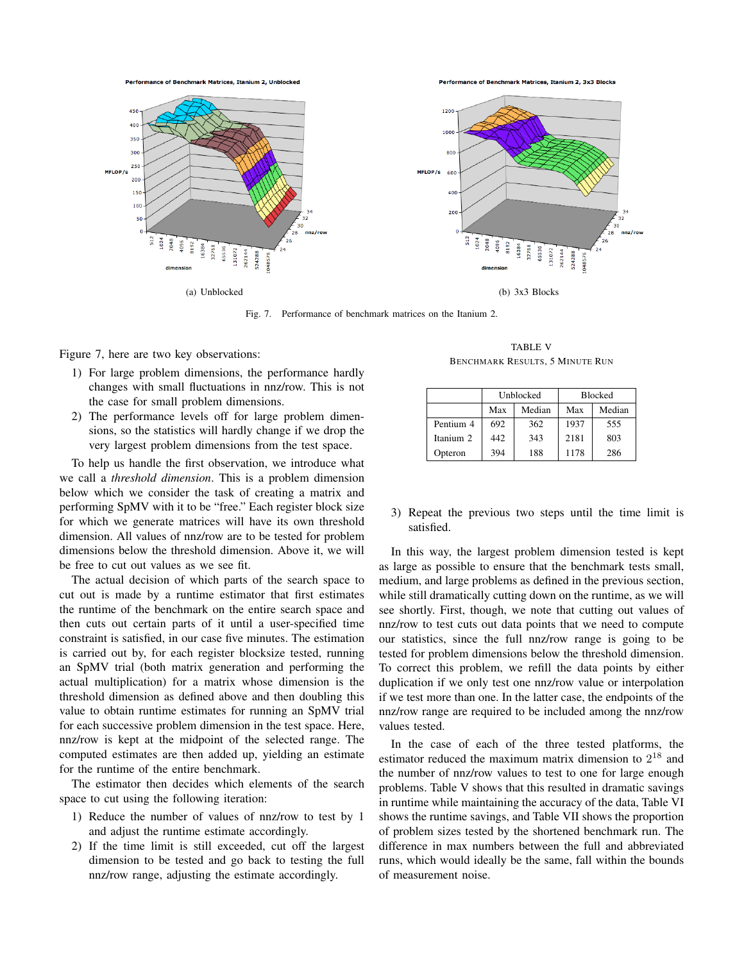**Performance of Benchmark Matrices, Itanium 2, Unblocked** 

Performance of Benchmark Matrices, Itanium 2, 3x3 Blocks



Fig. 7. Performance of benchmark matrices on the Itanium 2.

Figure 7, here are two key observations:

- 1) For large problem dimensions, the performance hardly changes with small fluctuations in nnz/row. This is not the case for small problem dimensions.
- 2) The performance levels off for large problem dimensions, so the statistics will hardly change if we drop the very largest problem dimensions from the test space.

To help us handle the first observation, we introduce what we call a *threshold dimension*. This is a problem dimension below which we consider the task of creating a matrix and performing SpMV with it to be "free." Each register block size for which we generate matrices will have its own threshold dimension. All values of nnz/row are to be tested for problem dimensions below the threshold dimension. Above it, we will be free to cut out values as we see fit.

The actual decision of which parts of the search space to cut out is made by a runtime estimator that first estimates the runtime of the benchmark on the entire search space and then cuts out certain parts of it until a user-specified time constraint is satisfied, in our case five minutes. The estimation is carried out by, for each register blocksize tested, running an SpMV trial (both matrix generation and performing the actual multiplication) for a matrix whose dimension is the threshold dimension as defined above and then doubling this value to obtain runtime estimates for running an SpMV trial for each successive problem dimension in the test space. Here, nnz/row is kept at the midpoint of the selected range. The computed estimates are then added up, yielding an estimate for the runtime of the entire benchmark.

The estimator then decides which elements of the search space to cut using the following iteration:

- 1) Reduce the number of values of nnz/row to test by 1 and adjust the runtime estimate accordingly.
- 2) If the time limit is still exceeded, cut off the largest dimension to be tested and go back to testing the full nnz/row range, adjusting the estimate accordingly.

TABLE V BENCHMARK RESULTS, 5 MINUTE RUN

|           | Unblocked |        | <b>Blocked</b> |        |
|-----------|-----------|--------|----------------|--------|
|           | Max       | Median | Max            | Median |
| Pentium 4 | 692       | 362    | 1937           | 555    |
| Itanium 2 | 442       | 343    | 2181           | 803    |
| Opteron   | 394       | 188    | 1178           | 286    |

3) Repeat the previous two steps until the time limit is satisfied.

In this way, the largest problem dimension tested is kept as large as possible to ensure that the benchmark tests small, medium, and large problems as defined in the previous section, while still dramatically cutting down on the runtime, as we will see shortly. First, though, we note that cutting out values of nnz/row to test cuts out data points that we need to compute our statistics, since the full nnz/row range is going to be tested for problem dimensions below the threshold dimension. To correct this problem, we refill the data points by either duplication if we only test one nnz/row value or interpolation if we test more than one. In the latter case, the endpoints of the nnz/row range are required to be included among the nnz/row values tested.

In the case of each of the three tested platforms, the estimator reduced the maximum matrix dimension to  $2^{18}$  and the number of nnz/row values to test to one for large enough problems. Table V shows that this resulted in dramatic savings in runtime while maintaining the accuracy of the data, Table VI shows the runtime savings, and Table VII shows the proportion of problem sizes tested by the shortened benchmark run. The difference in max numbers between the full and abbreviated runs, which would ideally be the same, fall within the bounds of measurement noise.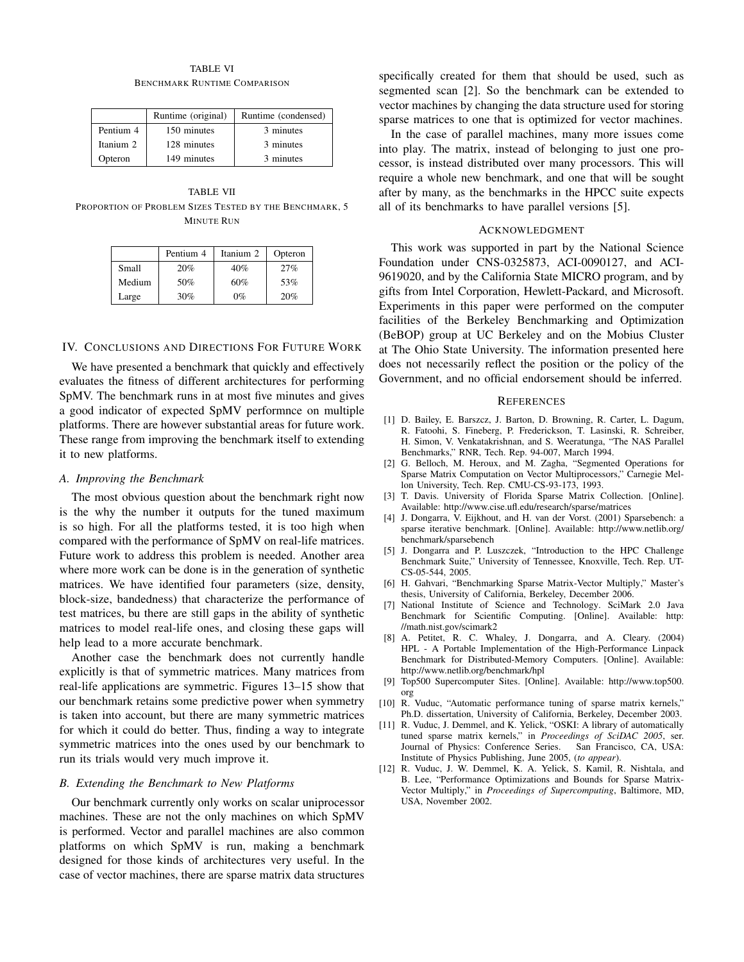#### TABLE VI BENCHMARK RUNTIME COMPARISON

|           | Runtime (original) | Runtime (condensed) |
|-----------|--------------------|---------------------|
| Pentium 4 | 150 minutes        | 3 minutes           |
| Itanium 2 | 128 minutes        | 3 minutes           |
| Opteron   | 149 minutes        | 3 minutes           |

TABLE VII PROPORTION OF PROBLEM SIZES TESTED BY THE BENCHMARK, 5 MINUTE RUN

|        | Pentium 4 | Itanium 2 | Opteron |
|--------|-----------|-----------|---------|
| Small  | 20%       | 40%       | 27%     |
| Medium | 50%       | 60%       | 53%     |
| Large  | 30%       | $0\%$     | 20%     |

## IV. CONCLUSIONS AND DIRECTIONS FOR FUTURE WORK

We have presented a benchmark that quickly and effectively evaluates the fitness of different architectures for performing SpMV. The benchmark runs in at most five minutes and gives a good indicator of expected SpMV performnce on multiple platforms. There are however substantial areas for future work. These range from improving the benchmark itself to extending it to new platforms.

#### *A. Improving the Benchmark*

The most obvious question about the benchmark right now is the why the number it outputs for the tuned maximum is so high. For all the platforms tested, it is too high when compared with the performance of SpMV on real-life matrices. Future work to address this problem is needed. Another area where more work can be done is in the generation of synthetic matrices. We have identified four parameters (size, density, block-size, bandedness) that characterize the performance of test matrices, bu there are still gaps in the ability of synthetic matrices to model real-life ones, and closing these gaps will help lead to a more accurate benchmark.

Another case the benchmark does not currently handle explicitly is that of symmetric matrices. Many matrices from real-life applications are symmetric. Figures 13–15 show that our benchmark retains some predictive power when symmetry is taken into account, but there are many symmetric matrices for which it could do better. Thus, finding a way to integrate symmetric matrices into the ones used by our benchmark to run its trials would very much improve it.

## *B. Extending the Benchmark to New Platforms*

Our benchmark currently only works on scalar uniprocessor machines. These are not the only machines on which SpMV is performed. Vector and parallel machines are also common platforms on which SpMV is run, making a benchmark designed for those kinds of architectures very useful. In the case of vector machines, there are sparse matrix data structures

specifically created for them that should be used, such as segmented scan [2]. So the benchmark can be extended to vector machines by changing the data structure used for storing sparse matrices to one that is optimized for vector machines.

In the case of parallel machines, many more issues come into play. The matrix, instead of belonging to just one processor, is instead distributed over many processors. This will require a whole new benchmark, and one that will be sought after by many, as the benchmarks in the HPCC suite expects all of its benchmarks to have parallel versions [5].

#### ACKNOWLEDGMENT

This work was supported in part by the National Science Foundation under CNS-0325873, ACI-0090127, and ACI-9619020, and by the California State MICRO program, and by gifts from Intel Corporation, Hewlett-Packard, and Microsoft. Experiments in this paper were performed on the computer facilities of the Berkeley Benchmarking and Optimization (BeBOP) group at UC Berkeley and on the Mobius Cluster at The Ohio State University. The information presented here does not necessarily reflect the position or the policy of the Government, and no official endorsement should be inferred.

#### **REFERENCES**

- [1] D. Bailey, E. Barszcz, J. Barton, D. Browning, R. Carter, L. Dagum, R. Fatoohi, S. Fineberg, P. Frederickson, T. Lasinski, R. Schreiber, H. Simon, V. Venkatakrishnan, and S. Weeratunga, "The NAS Parallel Benchmarks," RNR, Tech. Rep. 94-007, March 1994.
- [2] G. Belloch, M. Heroux, and M. Zagha, "Segmented Operations for Sparse Matrix Computation on Vector Multiprocessors," Carnegie Mellon University, Tech. Rep. CMU-CS-93-173, 1993.
- [3] T. Davis. University of Florida Sparse Matrix Collection. [Online]. Available: http://www.cise.ufl.edu/research/sparse/matrices
- [4] J. Dongarra, V. Eijkhout, and H. van der Vorst. (2001) Sparsebench: a sparse iterative benchmark. [Online]. Available: http://www.netlib.org/ benchmark/sparsebench
- [5] J. Dongarra and P. Luszczek, "Introduction to the HPC Challenge Benchmark Suite," University of Tennessee, Knoxville, Tech. Rep. UT-CS-05-544, 2005.
- [6] H. Gahvari, "Benchmarking Sparse Matrix-Vector Multiply," Master's thesis, University of California, Berkeley, December 2006.
- [7] National Institute of Science and Technology. SciMark 2.0 Java Benchmark for Scientific Computing. [Online]. Available: http: //math.nist.gov/scimark2
- [8] A. Petitet, R. C. Whaley, J. Dongarra, and A. Cleary. (2004) HPL - A Portable Implementation of the High-Performance Linpack Benchmark for Distributed-Memory Computers. [Online]. Available: http://www.netlib.org/benchmark/hpl
- [9] Top500 Supercomputer Sites. [Online]. Available: http://www.top500. org
- [10] R. Vuduc, "Automatic performance tuning of sparse matrix kernels," Ph.D. dissertation, University of California, Berkeley, December 2003.
- [11] R. Vuduc, J. Demmel, and K. Yelick, "OSKI: A library of automatically tuned sparse matrix kernels," in *Proceedings of SciDAC 2005*, ser. Journal of Physics: Conference Series. San Francisco, CA, USA: Institute of Physics Publishing, June 2005, (*to appear*).
- [12] R. Vuduc, J. W. Demmel, K. A. Yelick, S. Kamil, R. Nishtala, and B. Lee, "Performance Optimizations and Bounds for Sparse Matrix-Vector Multiply," in *Proceedings of Supercomputing*, Baltimore, MD, USA, November 2002.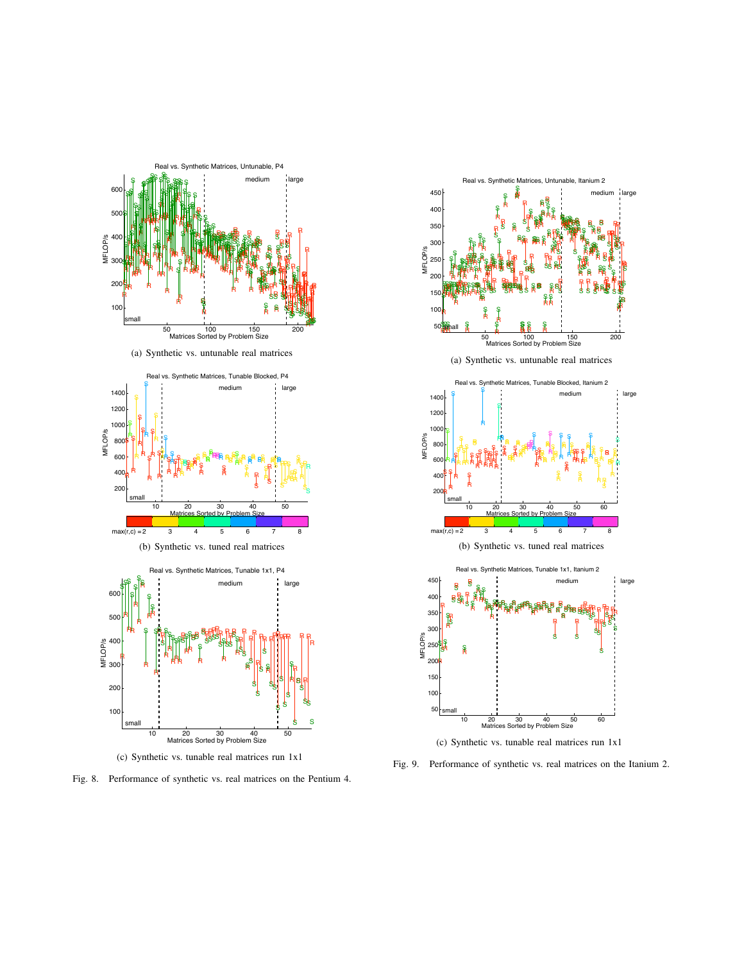

(a) Synthetic vs. untunable real matrices



(b) Synthetic vs. tuned real matrices





Fig. 8. Performance of synthetic vs. real matrices on the Pentium 4.



Fig. 9. Performance of synthetic vs. real matrices on the Itanium 2.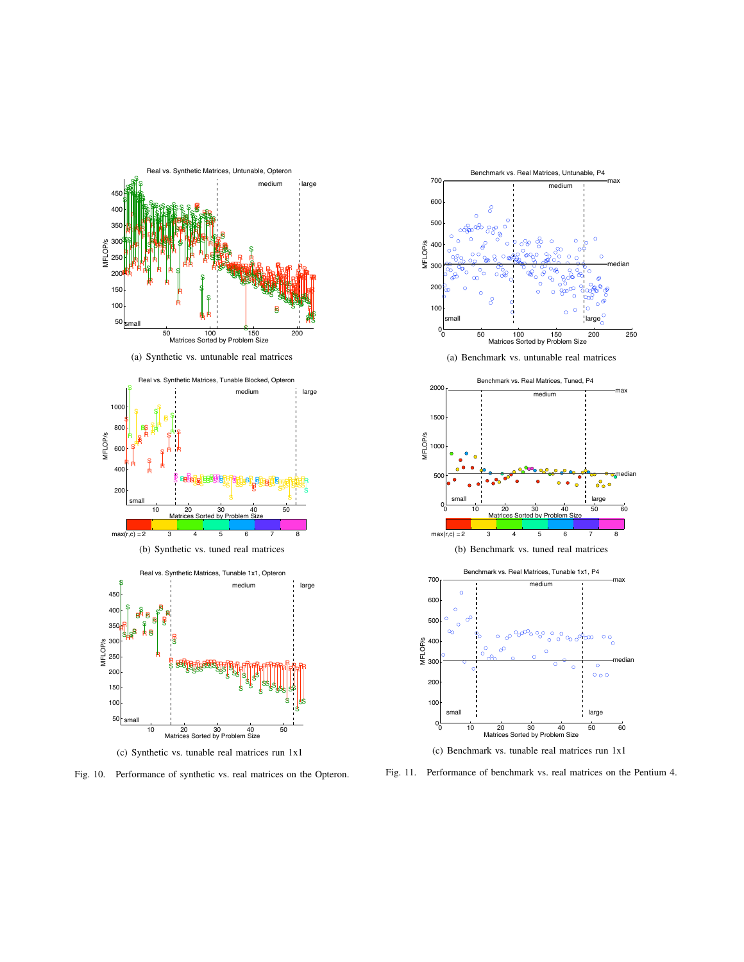



Fig. 10. Performance of synthetic vs. real matrices on the Opteron.



Fig. 11. Performance of benchmark vs. real matrices on the Pentium 4.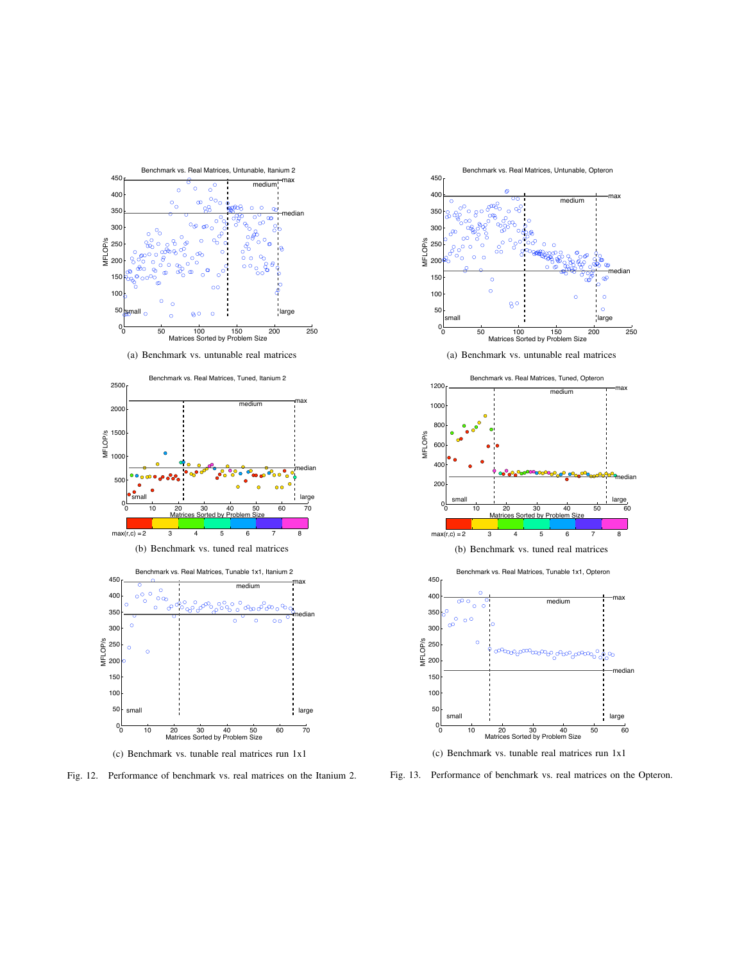

Fig. 12. Performance of benchmark vs. real matrices on the Itanium 2.



Fig. 13. Performance of benchmark vs. real matrices on the Opteron.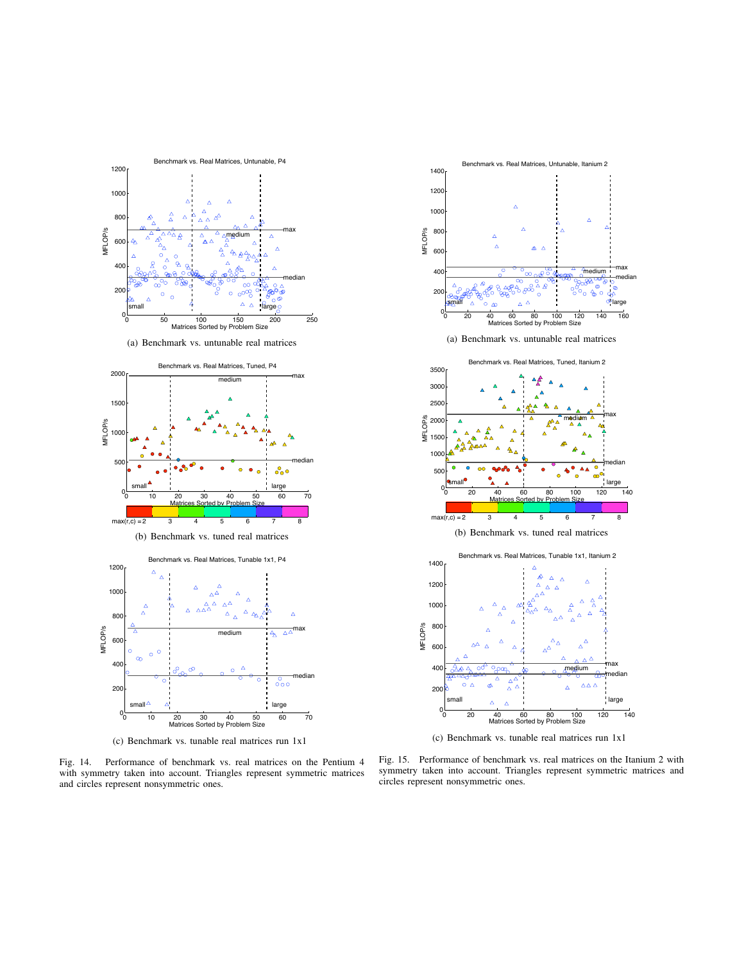

(a) Benchmark vs. untunable real matrices



(c) Benchmark vs. tunable real matrices run 1x1

Fig. 14. Performance of benchmark vs. real matrices on the Pentium 4 with symmetry taken into account. Triangles represent symmetric matrices and circles represent nonsymmetric ones.



(c) Benchmark vs. tunable real matrices run 1x1

Fig. 15. Performance of benchmark vs. real matrices on the Itanium 2 with symmetry taken into account. Triangles represent symmetric matrices and circles represent nonsymmetric ones.